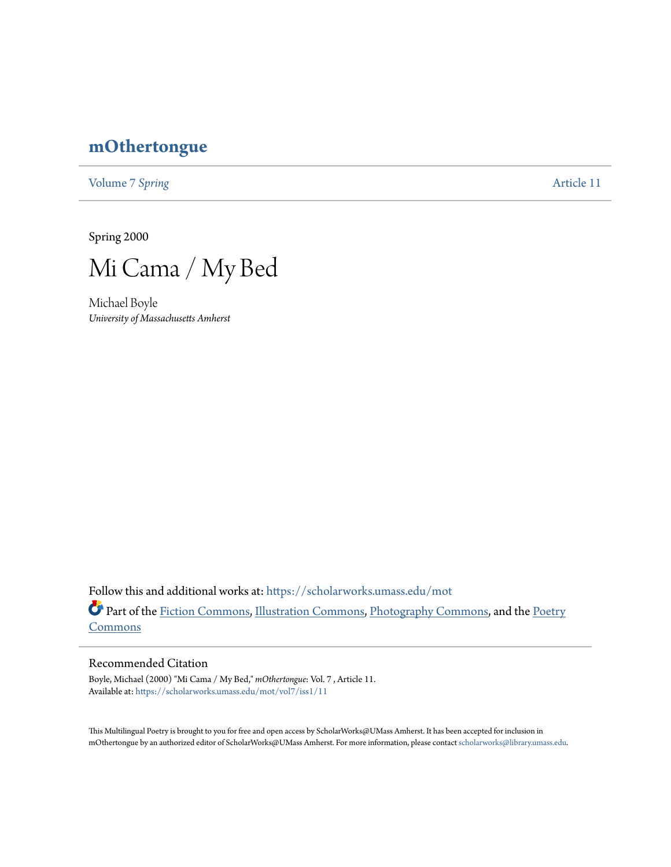## **[mOthertongue](https://scholarworks.umass.edu/mot?utm_source=scholarworks.umass.edu%2Fmot%2Fvol7%2Fiss1%2F11&utm_medium=PDF&utm_campaign=PDFCoverPages)**

[Volume 7](https://scholarworks.umass.edu/mot/vol7?utm_source=scholarworks.umass.edu%2Fmot%2Fvol7%2Fiss1%2F11&utm_medium=PDF&utm_campaign=PDFCoverPages) Spring **[Article 11](https://scholarworks.umass.edu/mot/vol7/iss1/11?utm_source=scholarworks.umass.edu%2Fmot%2Fvol7%2Fiss1%2F11&utm_medium=PDF&utm_campaign=PDFCoverPages)** 

Spring 2000



Michael Boyle *University of Massachusetts Amherst*

Follow this and additional works at: [https://scholarworks.umass.edu/mot](https://scholarworks.umass.edu/mot?utm_source=scholarworks.umass.edu%2Fmot%2Fvol7%2Fiss1%2F11&utm_medium=PDF&utm_campaign=PDFCoverPages) Part of the [Fiction Commons](http://network.bepress.com/hgg/discipline/1151?utm_source=scholarworks.umass.edu%2Fmot%2Fvol7%2Fiss1%2F11&utm_medium=PDF&utm_campaign=PDFCoverPages), [Illustration Commons,](http://network.bepress.com/hgg/discipline/1135?utm_source=scholarworks.umass.edu%2Fmot%2Fvol7%2Fiss1%2F11&utm_medium=PDF&utm_campaign=PDFCoverPages) [Photography Commons,](http://network.bepress.com/hgg/discipline/1142?utm_source=scholarworks.umass.edu%2Fmot%2Fvol7%2Fiss1%2F11&utm_medium=PDF&utm_campaign=PDFCoverPages) and the [Poetry](http://network.bepress.com/hgg/discipline/1153?utm_source=scholarworks.umass.edu%2Fmot%2Fvol7%2Fiss1%2F11&utm_medium=PDF&utm_campaign=PDFCoverPages) **[Commons](http://network.bepress.com/hgg/discipline/1153?utm_source=scholarworks.umass.edu%2Fmot%2Fvol7%2Fiss1%2F11&utm_medium=PDF&utm_campaign=PDFCoverPages)** 

## Recommended Citation

Boyle, Michael (2000) "Mi Cama / My Bed," *mOthertongue*: Vol. 7 , Article 11. Available at: [https://scholarworks.umass.edu/mot/vol7/iss1/11](https://scholarworks.umass.edu/mot/vol7/iss1/11?utm_source=scholarworks.umass.edu%2Fmot%2Fvol7%2Fiss1%2F11&utm_medium=PDF&utm_campaign=PDFCoverPages)

This Multilingual Poetry is brought to you for free and open access by ScholarWorks@UMass Amherst. It has been accepted for inclusion in mOthertongue by an authorized editor of ScholarWorks@UMass Amherst. For more information, please contact [scholarworks@library.umass.edu](mailto:scholarworks@library.umass.edu).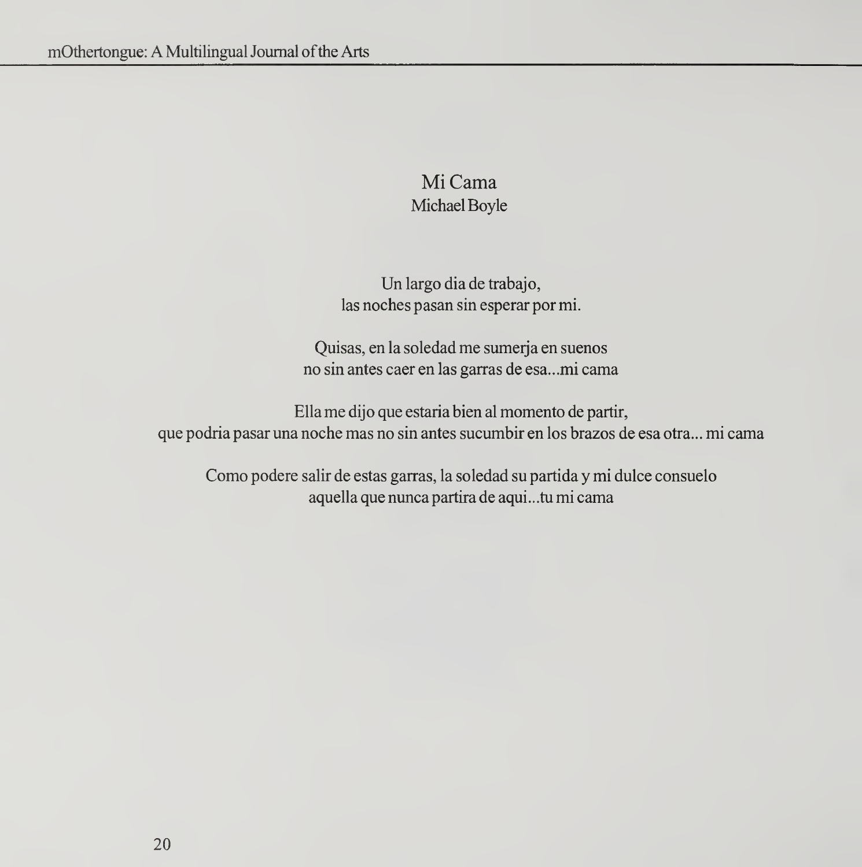## Mi Cama Michael Boyle

Un largo dia de trabajo, las noches pasan sin esperar por mi.

Quisas, en la soledad me sumerja en suenos no sin antes caer en las garras de esa...mi cama

Ella me dijo que estaria bien al momento de partir, que podria pasar una noche mas no sin antes sucumbir en los brazos de esa otra... mi cama

Como podere salir de estas garras, la soledad su partida y mi dulce consuelo aquella que nunca partira de aqui. . .tu mi cama